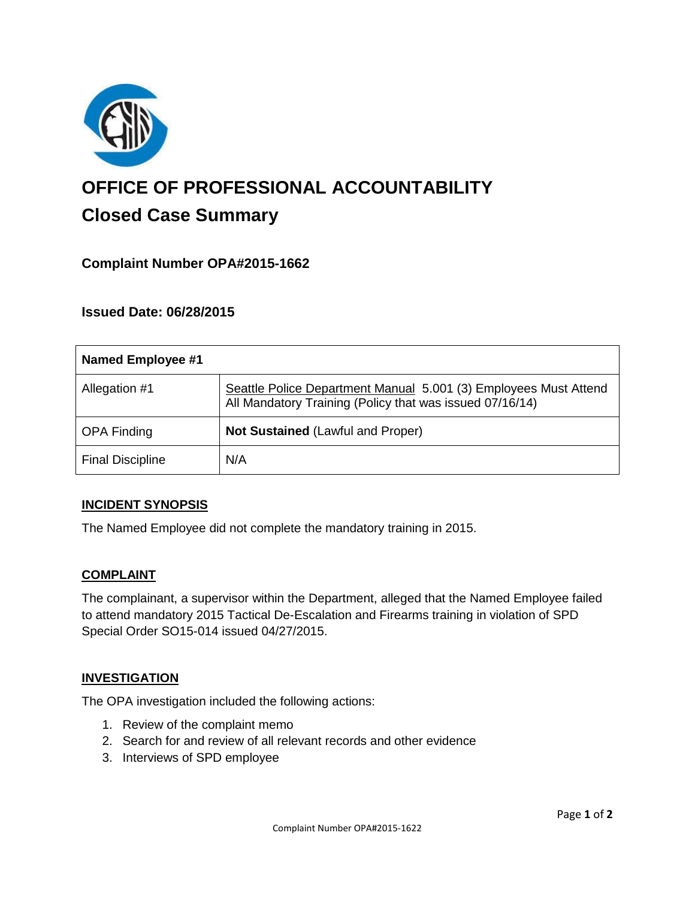

# **OFFICE OF PROFESSIONAL ACCOUNTABILITY Closed Case Summary**

## **Complaint Number OPA#2015-1662**

#### **Issued Date: 06/28/2015**

| <b>Named Employee #1</b> |                                                                                                                              |
|--------------------------|------------------------------------------------------------------------------------------------------------------------------|
| Allegation #1            | Seattle Police Department Manual 5.001 (3) Employees Must Attend<br>All Mandatory Training (Policy that was issued 07/16/14) |
| <b>OPA Finding</b>       | <b>Not Sustained (Lawful and Proper)</b>                                                                                     |
| <b>Final Discipline</b>  | N/A                                                                                                                          |

#### **INCIDENT SYNOPSIS**

The Named Employee did not complete the mandatory training in 2015.

#### **COMPLAINT**

The complainant, a supervisor within the Department, alleged that the Named Employee failed to attend mandatory 2015 Tactical De-Escalation and Firearms training in violation of SPD Special Order SO15-014 issued 04/27/2015.

#### **INVESTIGATION**

The OPA investigation included the following actions:

- 1. Review of the complaint memo
- 2. Search for and review of all relevant records and other evidence
- 3. Interviews of SPD employee